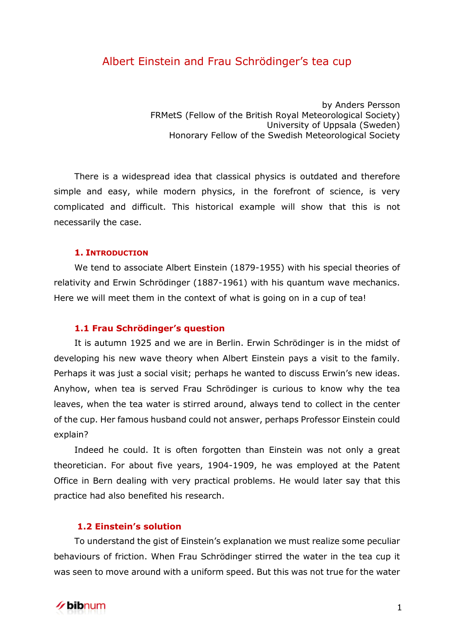# Albert Einstein and Frau Schrödinger's tea cup

by Anders Persson FRMetS (Fellow of the British Royal Meteorological Society) University of Uppsala (Sweden) Honorary Fellow of the Swedish Meteorological Society

There is a widespread idea that classical physics is outdated and therefore simple and easy, while modern physics, in the forefront of science, is very complicated and difficult. This historical example will show that this is not necessarily the case.

#### **1. INTRODUCTION**

We tend to associate Albert Einstein (1879-1955) with his special theories of relativity and Erwin Schrödinger (1887-1961) with his quantum wave mechanics. Here we will meet them in the context of what is going on in a cup of tea!

#### **1.1 Frau Schrödinger's question**

It is autumn 1925 and we are in Berlin. Erwin Schrödinger is in the midst of developing his new wave theory when Albert Einstein pays a visit to the family. Perhaps it was just a social visit; perhaps he wanted to discuss Erwin's new ideas. Anyhow, when tea is served Frau Schrödinger is curious to know why the tea leaves, when the tea water is stirred around, always tend to collect in the center of the cup. Her famous husband could not answer, perhaps Professor Einstein could explain?

Indeed he could. It is often forgotten than Einstein was not only a great theoretician. For about five years, 1904-1909, he was employed at the Patent Office in Bern dealing with very practical problems. He would later say that this practice had also benefited his research.

# **1.2 Einstein's solution**

To understand the gist of Einstein's explanation we must realize some peculiar behaviours of friction. When Frau Schrödinger stirred the water in the tea cup it was seen to move around with a uniform speed. But this was not true for the water

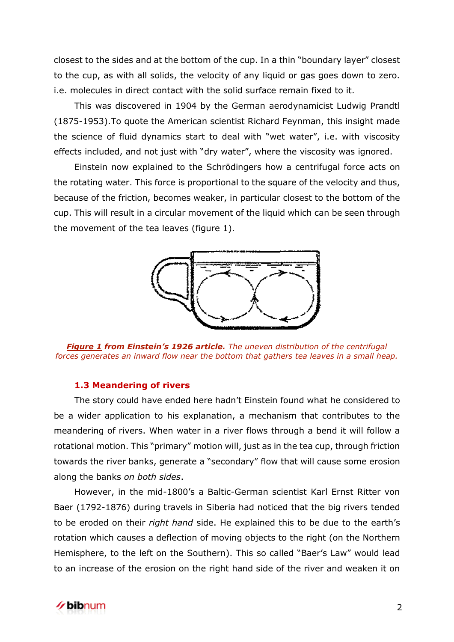closest to the sides and at the bottom of the cup. In a thin "boundary layer" closest to the cup, as with all solids, the velocity of any liquid or gas goes down to zero. i.e. molecules in direct contact with the solid surface remain fixed to it.

This was discovered in 1904 by the German aerodynamicist Ludwig Prandtl (1875-1953).To quote the American scientist Richard Feynman, this insight made the science of fluid dynamics start to deal with "wet water", i.e. with viscosity effects included, and not just with "dry water", where the viscosity was ignored.

Einstein now explained to the Schrödingers how a centrifugal force acts on the rotating water. This force is proportional to the square of the velocity and thus, because of the friction, becomes weaker, in particular closest to the bottom of the cup. This will result in a circular movement of the liquid which can be seen through the movement of the tea leaves (figure 1).



*Figure 1 from Einstein's 1926 article. The uneven distribution of the centrifugal forces generates an inward flow near the bottom that gathers tea leaves in a small heap.*

#### **1.3 Meandering of rivers**

The story could have ended here hadn't Einstein found what he considered to be a wider application to his explanation, a mechanism that contributes to the meandering of rivers. When water in a river flows through a bend it will follow a rotational motion. This "primary" motion will, just as in the tea cup, through friction towards the river banks, generate a "secondary" flow that will cause some erosion along the banks *on both sides*.

However, in the mid-1800's a Baltic-German scientist Karl Ernst Ritter von Baer (1792-1876) during travels in Siberia had noticed that the big rivers tended to be eroded on their *right hand* side. He explained this to be due to the earth's rotation which causes a deflection of moving objects to the right (on the Northern Hemisphere, to the left on the Southern). This so called "Baer's Law" would lead to an increase of the erosion on the right hand side of the river and weaken it on

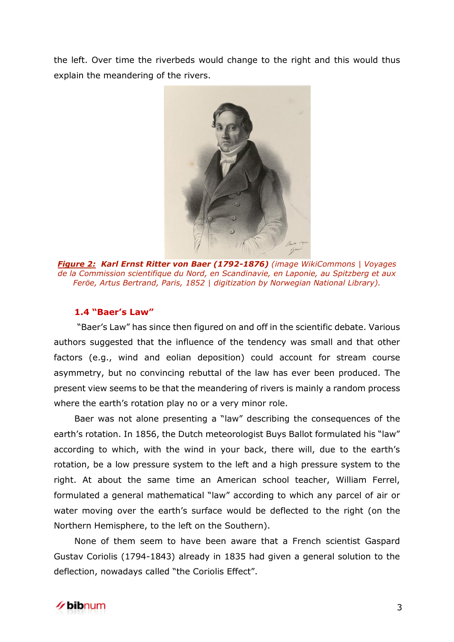the left. Over time the riverbeds would change to the right and this would thus explain the meandering of the rivers.



*Figure 2: Karl Ernst Ritter von Baer (1792-1876) (image WikiCommons | Voyages de la Commission scientifique du Nord, en Scandinavie, en Laponie, au Spitzberg et aux Feröe, Artus Bertrand, Paris, 1852 | digitization by Norwegian National Library).*

# **1.4 "Baer's Law"**

"Baer's Law" has since then figured on and off in the scientific debate. Various authors suggested that the influence of the tendency was small and that other factors (e.g., wind and eolian deposition) could account for stream course asymmetry, but no convincing rebuttal of the law has ever been produced. The present view seems to be that the meandering of rivers is mainly a random process where the earth's rotation play no or a very minor role.

Baer was not alone presenting a "law" describing the consequences of the earth's rotation. In 1856, the Dutch meteorologist Buys Ballot formulated his "law" according to which, with the wind in your back, there will, due to the earth's rotation, be a low pressure system to the left and a high pressure system to the right. At about the same time an American school teacher, William Ferrel, formulated a general mathematical "law" according to which any parcel of air or water moving over the earth's surface would be deflected to the right (on the Northern Hemisphere, to the left on the Southern).

None of them seem to have been aware that a French scientist Gaspard Gustav Coriolis (1794-1843) already in 1835 had given a general solution to the deflection, nowadays called "the Coriolis Effect".

# ∕**∕ bib**num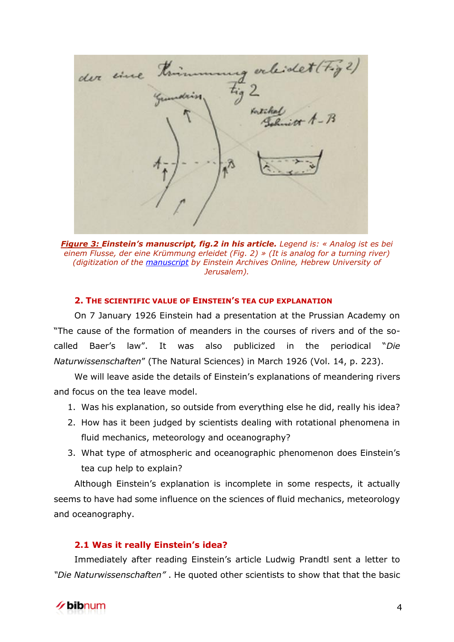orleidet (tig der eine rtike

*Figure 3: Einstein's manuscript, fig.2 in his article. Legend is: « Analog ist es bei einem Flusse, der eine Krümmung erleidet (Fig. 2) » (It is analog for a turning river) (digitization of the [manuscript](http://alberteinstein.info/vufind1/Record/EAR000034054) by Einstein Archives Online, Hebrew University of Jerusalem).* 

#### **2. THE SCIENTIFIC VALUE OF EINSTEIN'S TEA CUP EXPLANATION**

On 7 January 1926 Einstein had a presentation at the Prussian Academy on "The cause of the formation of meanders in the courses of rivers and of the socalled Baer's law". It was also publicized in the periodical "*Die Naturwissenschaften*" (The Natural Sciences) in March 1926 (Vol. 14, p. 223).

We will leave aside the details of Einstein's explanations of meandering rivers and focus on the tea leave model.

- 1. Was his explanation, so outside from everything else he did, really his idea?
- 2. How has it been judged by scientists dealing with rotational phenomena in fluid mechanics, meteorology and oceanography?
- 3. What type of atmospheric and oceanographic phenomenon does Einstein's tea cup help to explain?

Although Einstein's explanation is incomplete in some respects, it actually seems to have had some influence on the sciences of fluid mechanics, meteorology and oceanography.

#### **2.1 Was it really Einstein's idea?**

Immediately after reading Einstein's article Ludwig Prandtl sent a letter to *"Die Naturwissenschaften"* . He quoted other scientists to show that that the basic

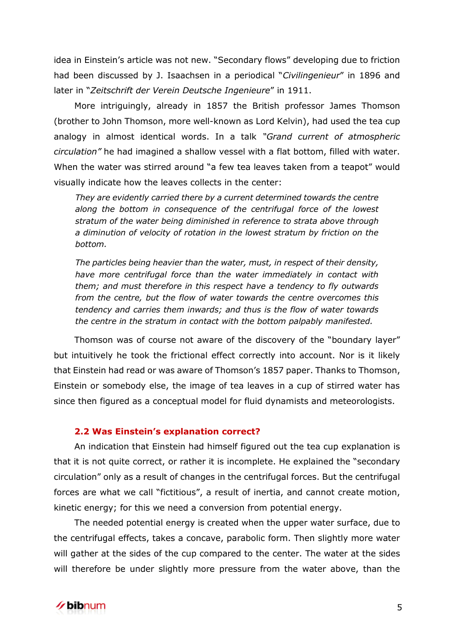idea in Einstein's article was not new. "Secondary flows" developing due to friction had been discussed by J. Isaachsen in a periodical "*Civilingenieur*" in 1896 and later in "*Zeitschrift der Verein Deutsche Ingenieure*" in 1911.

More intriguingly, already in 1857 the British professor James Thomson (brother to John Thomson, more well-known as Lord Kelvin), had used the tea cup analogy in almost identical words. In a talk *"Grand current of atmospheric circulation"* he had imagined a shallow vessel with a flat bottom, filled with water. When the water was stirred around "a few tea leaves taken from a teapot" would visually indicate how the leaves collects in the center:

*They are evidently carried there by a current determined towards the centre along the bottom in consequence of the centrifugal force of the lowest stratum of the water being diminished in reference to strata above through a diminution of velocity of rotation in the lowest stratum by friction on the bottom.* 

*The particles being heavier than the water, must, in respect of their density, have more centrifugal force than the water immediately in contact with them; and must therefore in this respect have a tendency to fly outwards from the centre, but the flow of water towards the centre overcomes this tendency and carries them inwards; and thus is the flow of water towards the centre in the stratum in contact with the bottom palpably manifested.*

Thomson was of course not aware of the discovery of the "boundary layer" but intuitively he took the frictional effect correctly into account. Nor is it likely that Einstein had read or was aware of Thomson's 1857 paper. Thanks to Thomson, Einstein or somebody else, the image of tea leaves in a cup of stirred water has since then figured as a conceptual model for fluid dynamists and meteorologists.

# **2.2 Was Einstein's explanation correct?**

An indication that Einstein had himself figured out the tea cup explanation is that it is not quite correct, or rather it is incomplete. He explained the "secondary circulation" only as a result of changes in the centrifugal forces. But the centrifugal forces are what we call "fictitious", a result of inertia, and cannot create motion, kinetic energy; for this we need a conversion from potential energy.

The needed potential energy is created when the upper water surface, due to the centrifugal effects, takes a concave, parabolic form. Then slightly more water will gather at the sides of the cup compared to the center. The water at the sides will therefore be under slightly more pressure from the water above, than the

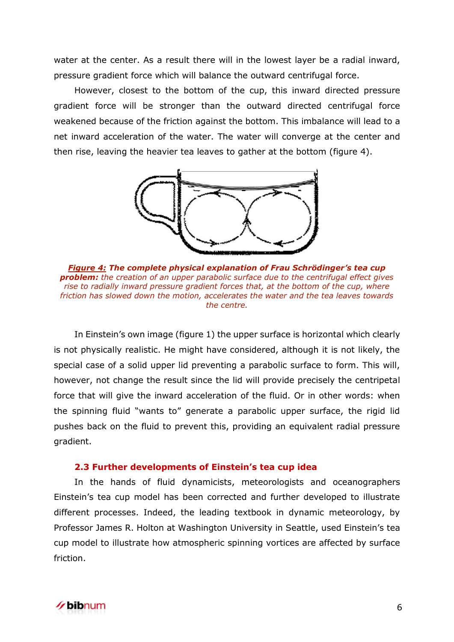water at the center. As a result there will in the lowest layer be a radial inward, pressure gradient force which will balance the outward centrifugal force.

However, closest to the bottom of the cup, this inward directed pressure gradient force will be stronger than the outward directed centrifugal force weakened because of the friction against the bottom. This imbalance will lead to a net inward acceleration of the water. The water will converge at the center and then rise, leaving the heavier tea leaves to gather at the bottom (figure 4).



*Figure 4: The complete physical explanation of Frau Schrödinger's tea cup problem: the creation of an upper parabolic surface due to the centrifugal effect gives rise to radially inward pressure gradient forces that, at the bottom of the cup, where friction has slowed down the motion, accelerates the water and the tea leaves towards the centre.*

In Einstein's own image (figure 1) the upper surface is horizontal which clearly is not physically realistic. He might have considered, although it is not likely, the special case of a solid upper lid preventing a parabolic surface to form. This will, however, not change the result since the lid will provide precisely the centripetal force that will give the inward acceleration of the fluid. Or in other words: when the spinning fluid "wants to" generate a parabolic upper surface, the rigid lid pushes back on the fluid to prevent this, providing an equivalent radial pressure gradient.

#### **2.3 Further developments of Einstein's tea cup idea**

In the hands of fluid dynamicists, meteorologists and oceanographers Einstein's tea cup model has been corrected and further developed to illustrate different processes. Indeed, the leading textbook in dynamic meteorology, by Professor James R. Holton at Washington University in Seattle, used Einstein's tea cup model to illustrate how atmospheric spinning vortices are affected by surface friction.

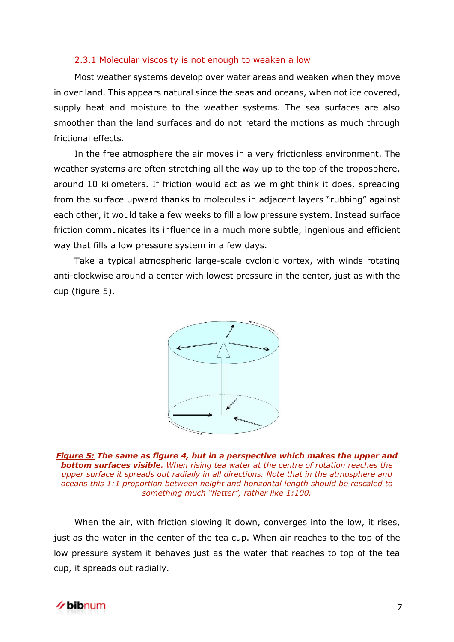#### 2.3.1 Molecular viscosity is not enough to weaken a low

Most weather systems develop over water areas and weaken when they move in over land. This appears natural since the seas and oceans, when not ice covered, supply heat and moisture to the weather systems. The sea surfaces are also smoother than the land surfaces and do not retard the motions as much through frictional effects.

In the free atmosphere the air moves in a very frictionless environment. The weather systems are often stretching all the way up to the top of the troposphere, around 10 kilometers. If friction would act as we might think it does, spreading from the surface upward thanks to molecules in adjacent layers "rubbing" against each other, it would take a few weeks to fill a low pressure system. Instead surface friction communicates its influence in a much more subtle, ingenious and efficient way that fills a low pressure system in a few days.

Take a typical atmospheric large-scale cyclonic vortex, with winds rotating anti-clockwise around a center with lowest pressure in the center, just as with the cup (figure 5).



*Figure 5: The same as figure 4, but in a perspective which makes the upper and bottom surfaces visible. When rising tea water at the centre of rotation reaches the upper surface it spreads out radially in all directions. Note that in the atmosphere and oceans this 1:1 proportion between height and horizontal length should be rescaled to something much "flatter", rather like 1:100.*

When the air, with friction slowing it down, converges into the low, it rises, just as the water in the center of the tea cup. When air reaches to the top of the low pressure system it behaves just as the water that reaches to top of the tea cup, it spreads out radially.

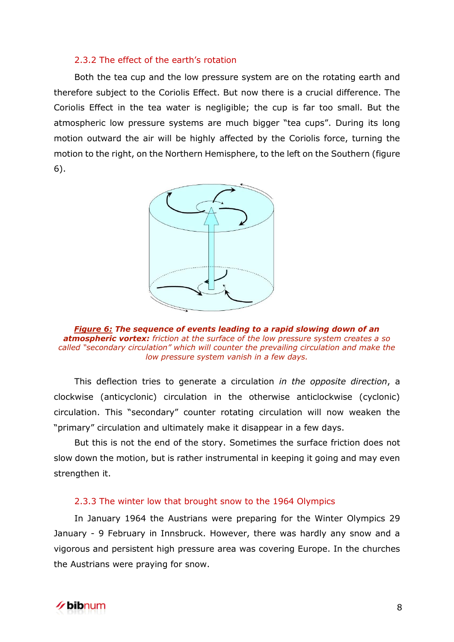# 2.3.2 The effect of the earth's rotation

Both the tea cup and the low pressure system are on the rotating earth and therefore subject to the Coriolis Effect. But now there is a crucial difference. The Coriolis Effect in the tea water is negligible; the cup is far too small. But the atmospheric low pressure systems are much bigger "tea cups". During its long motion outward the air will be highly affected by the Coriolis force, turning the motion to the right, on the Northern Hemisphere, to the left on the Southern (figure 6).



*Figure 6: The sequence of events leading to a rapid slowing down of an atmospheric vortex: friction at the surface of the low pressure system creates a so called "secondary circulation" which will counter the prevailing circulation and make the low pressure system vanish in a few days.*

This deflection tries to generate a circulation *in the opposite direction*, a clockwise (anticyclonic) circulation in the otherwise anticlockwise (cyclonic) circulation. This "secondary" counter rotating circulation will now weaken the "primary" circulation and ultimately make it disappear in a few days.

But this is not the end of the story. Sometimes the surface friction does not slow down the motion, but is rather instrumental in keeping it going and may even strengthen it.

# 2.3.3 The winter low that brought snow to the 1964 Olympics

In January 1964 the Austrians were preparing for the Winter Olympics 29 January - 9 February in Innsbruck. However, there was hardly any snow and a vigorous and persistent high pressure area was covering Europe. In the churches the Austrians were praying for snow.

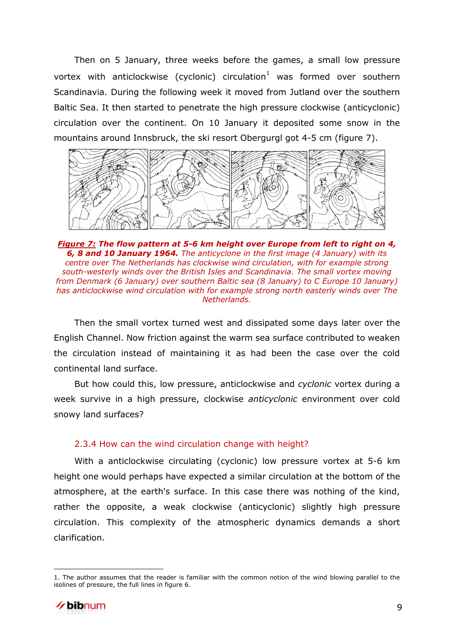Then on 5 January, three weeks before the games, a small low pressure vortex with anticlockwise (cyclonic) circulation<sup>1</sup> was formed over southern Scandinavia. During the following week it moved from Jutland over the southern Baltic Sea. It then started to penetrate the high pressure clockwise (anticyclonic) circulation over the continent. On 10 January it deposited some snow in the mountains around Innsbruck, the ski resort Obergurgl got 4-5 cm (figure 7).



*Figure 7: The flow pattern at 5-6 km height over Europe from left to right on 4, 6, 8 and 10 January 1964. The anticyclone in the first image (4 January) with its centre over The Netherlands has clockwise wind circulation, with for example strong south-westerly winds over the British Isles and Scandinavia. The small vortex moving from Denmark (6 January) over southern Baltic sea (8 January) to C Europe 10 January) has anticlockwise wind circulation with for example strong north easterly winds over The Netherlands.*

Then the small vortex turned west and dissipated some days later over the English Channel. Now friction against the warm sea surface contributed to weaken the circulation instead of maintaining it as had been the case over the cold continental land surface.

But how could this, low pressure, anticlockwise and *cyclonic* vortex during a week survive in a high pressure, clockwise *anticyclonic* environment over cold snowy land surfaces?

# 2.3.4 How can the wind circulation change with height?

With a anticlockwise circulating (cyclonic) low pressure vortex at 5-6 km height one would perhaps have expected a similar circulation at the bottom of the atmosphere, at the earth's surface. In this case there was nothing of the kind, rather the opposite, a weak clockwise (anticyclonic) slightly high pressure circulation. This complexity of the atmospheric dynamics demands a short clarification.

<sup>1.</sup> The author assumes that the reader is familiar with the common notion of the wind blowing parallel to the isolines of pressure, the full lines in figure 6.



 $\overline{a}$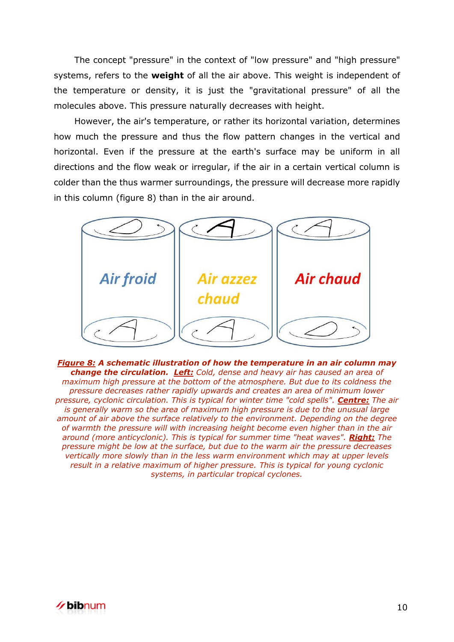The concept "pressure" in the context of "low pressure" and "high pressure" systems, refers to the **weight** of all the air above. This weight is independent of the temperature or density, it is just the "gravitational pressure" of all the molecules above. This pressure naturally decreases with height.

However, the air's temperature, or rather its horizontal variation, determines how much the pressure and thus the flow pattern changes in the vertical and horizontal. Even if the pressure at the earth's surface may be uniform in all directions and the flow weak or irregular, if the air in a certain vertical column is colder than the thus warmer surroundings, the pressure will decrease more rapidly in this column (figure 8) than in the air around.



*Figure 8: A schematic illustration of how the temperature in an air column may change the circulation. Left: Cold, dense and heavy air has caused an area of maximum high pressure at the bottom of the atmosphere. But due to its coldness the pressure decreases rather rapidly upwards and creates an area of minimum lower pressure, cyclonic circulation. This is typical for winter time "cold spells". Centre: The air is generally warm so the area of maximum high pressure is due to the unusual large amount of air above the surface relatively to the environment. Depending on the degree of warmth the pressure will with increasing height become even higher than in the air around (more anticyclonic). This is typical for summer time "heat waves". Right: The pressure might be low at the surface, but due to the warm air the pressure decreases vertically more slowly than in the less warm environment which may at upper levels result in a relative maximum of higher pressure. This is typical for young cyclonic systems, in particular tropical cyclones.*

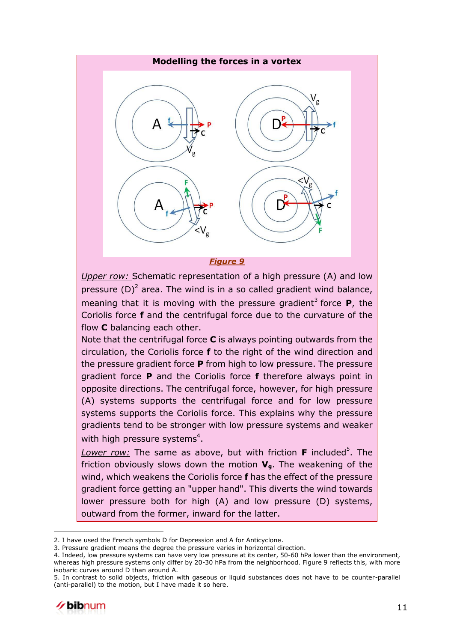

*Upper row:* Schematic representation of a high pressure (A) and low pressure  $(D)^2$  area. The wind is in a so called gradient wind balance, meaning that it is moving with the pressure gradient<sup>3</sup> force  $P$ , the Coriolis force **f** and the centrifugal force due to the curvature of the flow **C** balancing each other.

Note that the centrifugal force **C** is always pointing outwards from the circulation, the Coriolis force **f** to the right of the wind direction and the pressure gradient force **P** from high to low pressure. The pressure gradient force **P** and the Coriolis force **f** therefore always point in opposite directions. The centrifugal force, however, for high pressure (A) systems supports the centrifugal force and for low pressure systems supports the Coriolis force. This explains why the pressure gradients tend to be stronger with low pressure systems and weaker with high pressure systems $4$ .

Lower row: The same as above, but with friction **F** included<sup>5</sup>. The friction obviously slows down the motion **Vg**. The weakening of the wind, which weakens the Coriolis force **f** has the effect of the pressure gradient force getting an "upper hand". This diverts the wind towards lower pressure both for high (A) and low pressure (D) systems, outward from the former, inward for the latter.

<sup>5.</sup> In contrast to solid objects, friction with gaseous or liquid substances does not have to be counter-parallel (anti-parallel) to the motion, but I have made it so here.



 $\overline{a}$ 

<sup>2.</sup> I have used the French symbols D for Depression and A for Anticyclone.

<sup>3.</sup> Pressure gradient means the degree the pressure varies in horizontal direction.

<sup>4.</sup> Indeed, low pressure systems can have very low pressure at its center, 50-60 hPa lower than the environment, whereas high pressure systems only differ by 20-30 hPa from the neighborhood. Figure 9 reflects this, with more isobaric curves around D than around A.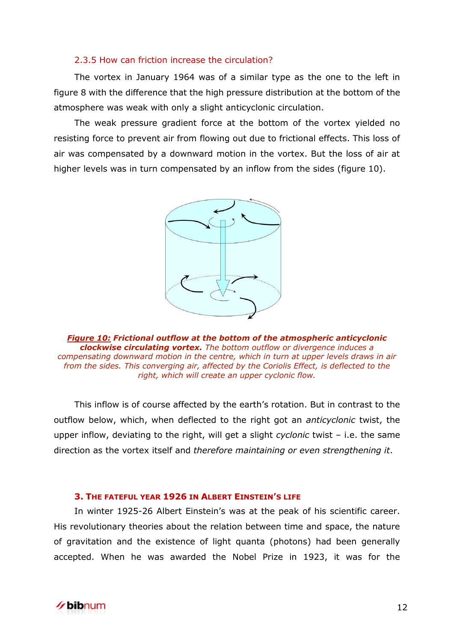# 2.3.5 How can friction increase the circulation?

The vortex in January 1964 was of a similar type as the one to the left in figure 8 with the difference that the high pressure distribution at the bottom of the atmosphere was weak with only a slight anticyclonic circulation.

The weak pressure gradient force at the bottom of the vortex yielded no resisting force to prevent air from flowing out due to frictional effects. This loss of air was compensated by a downward motion in the vortex. But the loss of air at higher levels was in turn compensated by an inflow from the sides (figure 10).



*Figure 10: Frictional outflow at the bottom of the atmospheric anticyclonic clockwise circulating vortex. The bottom outflow or divergence induces a compensating downward motion in the centre, which in turn at upper levels draws in air from the sides. This converging air, affected by the Coriolis Effect, is deflected to the right, which will create an upper cyclonic flow.* 

This inflow is of course affected by the earth's rotation. But in contrast to the outflow below, which, when deflected to the right got an *anticyclonic* twist, the upper inflow, deviating to the right, will get a slight *cyclonic* twist – i.e. the same direction as the vortex itself and *therefore maintaining or even strengthening it*.

## **3. THE FATEFUL YEAR 1926 IN ALBERT EINSTEIN'S LIFE**

In winter 1925-26 Albert Einstein's was at the peak of his scientific career. His revolutionary theories about the relation between time and space, the nature of gravitation and the existence of light quanta (photons) had been generally accepted. When he was awarded the Nobel Prize in 1923, it was for the